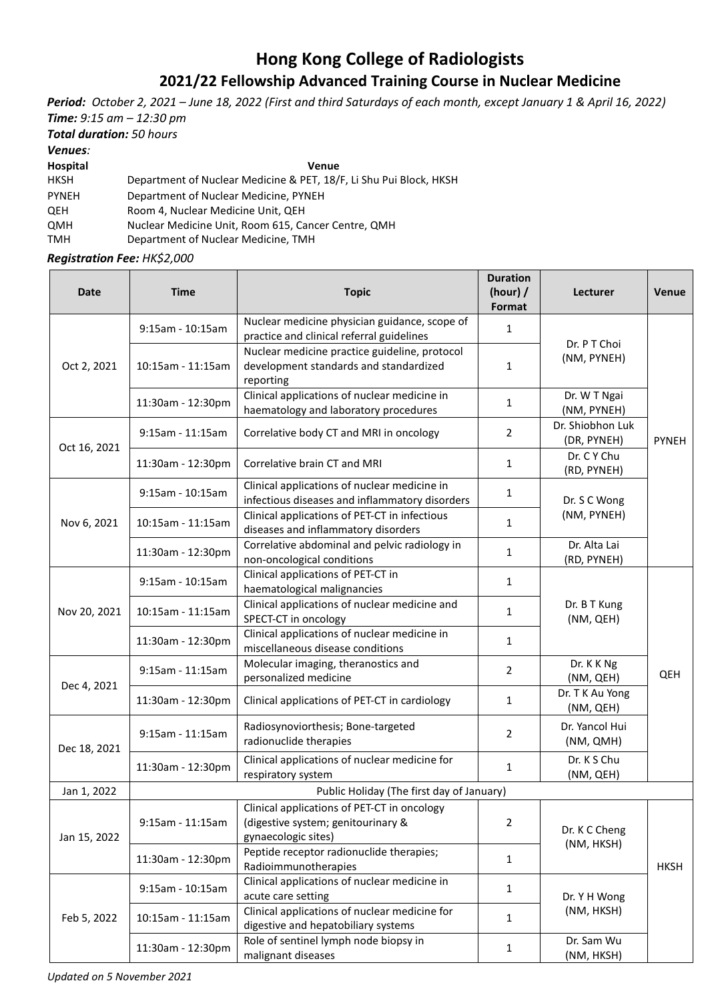## **Hong Kong College of Radiologists 2021/22 Fellowship Advanced Training Course in Nuclear Medicine**

*Period: October 2, 2021 – June 18, 2022 (First and third Saturdays of each month, except January 1 & April 16, 2022) Time: 9:15 am – 12:30 pm*

*Total duration: 50 hours*

*Venues:* 

**Hospital Venue**

HKSH Department of Nuclear Medicine & PET, 18/F, Li Shu Pui Block, HKSH

PYNEH Department of Nuclear Medicine, PYNEH

QEH Room 4, Nuclear Medicine Unit, QEH

QMH Nuclear Medicine Unit, Room 615, Cancer Centre, QMH

TMH Department of Nuclear Medicine, TMH

*Registration Fee: HK\$2,000*

| <b>Date</b>  | <b>Time</b>                               | <b>Topic</b>                                                                                             | <b>Duration</b><br>(hour) $/$<br>Format | Lecturer                        | Venue        |  |  |
|--------------|-------------------------------------------|----------------------------------------------------------------------------------------------------------|-----------------------------------------|---------------------------------|--------------|--|--|
| Oct 2, 2021  | $9:15$ am - 10:15am                       | Nuclear medicine physician guidance, scope of<br>practice and clinical referral guidelines               | 1                                       | Dr. P T Choi<br>(NM, PYNEH)     | <b>PYNEH</b> |  |  |
|              | 10:15am - 11:15am                         | Nuclear medicine practice guideline, protocol<br>development standards and standardized<br>reporting     | $\mathbf{1}$                            |                                 |              |  |  |
|              | 11:30am - 12:30pm                         | Clinical applications of nuclear medicine in<br>haematology and laboratory procedures                    | 1                                       | Dr. W T Ngai<br>(NM, PYNEH)     |              |  |  |
| Oct 16, 2021 | $9:15$ am - 11:15am                       | Correlative body CT and MRI in oncology                                                                  | $\overline{2}$                          | Dr. Shiobhon Luk<br>(DR, PYNEH) |              |  |  |
|              | 11:30am - 12:30pm                         | Correlative brain CT and MRI                                                                             | $\mathbf{1}$                            | Dr. C Y Chu<br>(RD, PYNEH)      |              |  |  |
| Nov 6, 2021  | 9:15am - 10:15am                          | Clinical applications of nuclear medicine in<br>infectious diseases and inflammatory disorders           | $\mathbf{1}$                            | Dr. S C Wong<br>(NM, PYNEH)     |              |  |  |
|              | 10:15am - 11:15am                         | Clinical applications of PET-CT in infectious<br>diseases and inflammatory disorders                     | $\mathbf{1}$                            |                                 |              |  |  |
|              | 11:30am - 12:30pm                         | Correlative abdominal and pelvic radiology in<br>non-oncological conditions                              | 1                                       | Dr. Alta Lai<br>(RD, PYNEH)     |              |  |  |
| Nov 20, 2021 | $9:15$ am - 10:15am                       | Clinical applications of PET-CT in<br>haematological malignancies                                        | 1                                       | Dr. B T Kung<br>(NM, QEH)       | QEH          |  |  |
|              | 10:15am - 11:15am                         | Clinical applications of nuclear medicine and<br>SPECT-CT in oncology                                    | $\mathbf{1}$                            |                                 |              |  |  |
|              | 11:30am - 12:30pm                         | Clinical applications of nuclear medicine in<br>miscellaneous disease conditions                         | $\mathbf{1}$                            |                                 |              |  |  |
| Dec 4, 2021  | 9:15am - 11:15am                          | Molecular imaging, theranostics and<br>personalized medicine                                             | $\overline{2}$                          | Dr. K K Ng<br>(NM, QEH)         |              |  |  |
|              | 11:30am - 12:30pm                         | Clinical applications of PET-CT in cardiology                                                            | $\mathbf{1}$                            | Dr. T K Au Yong<br>(NM, QEH)    |              |  |  |
| Dec 18, 2021 | $9:15$ am - 11:15am                       | Radiosynoviorthesis; Bone-targeted<br>radionuclide therapies                                             | $\overline{2}$                          | Dr. Yancol Hui<br>(NM, QMH)     |              |  |  |
|              | 11:30am - 12:30pm                         | Clinical applications of nuclear medicine for<br>respiratory system                                      | 1                                       | Dr. K S Chu<br>(NM, QEH)        |              |  |  |
| Jan 1, 2022  | Public Holiday (The first day of January) |                                                                                                          |                                         |                                 |              |  |  |
| Jan 15, 2022 | 9:15am - 11:15am                          | Clinical applications of PET-CT in oncology<br>(digestive system; genitourinary &<br>gynaecologic sites) | $\overline{2}$                          | Dr. K C Cheng<br>(NM, HKSH)     | <b>HKSH</b>  |  |  |
|              | 11:30am - 12:30pm                         | Peptide receptor radionuclide therapies;<br>Radioimmunotherapies                                         | $\mathbf{1}$                            |                                 |              |  |  |
| Feb 5, 2022  | 9:15am - 10:15am                          | Clinical applications of nuclear medicine in<br>acute care setting                                       | 1                                       | Dr. Y H Wong<br>(NM, HKSH)      |              |  |  |
|              | 10:15am - 11:15am                         | Clinical applications of nuclear medicine for<br>digestive and hepatobiliary systems                     | $\mathbf{1}$                            |                                 |              |  |  |
|              | 11:30am - 12:30pm                         | Role of sentinel lymph node biopsy in<br>malignant diseases                                              | 1                                       | Dr. Sam Wu<br>(NM, HKSH)        |              |  |  |